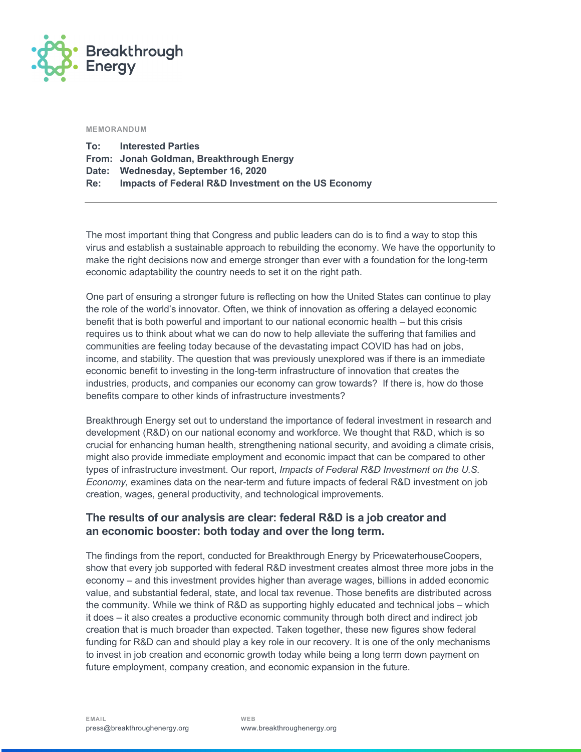

#### **MEMORANDUM**

| To: | <b>Interested Parties</b>                           |
|-----|-----------------------------------------------------|
|     | From: Jonah Goldman, Breakthrough Energy            |
|     | Date: Wednesday, September 16, 2020                 |
| Re: | Impacts of Federal R&D Investment on the US Economy |

The most important thing that Congress and public leaders can do is to find a way to stop this virus and establish a sustainable approach to rebuilding the economy. We have the opportunity to make the right decisions now and emerge stronger than ever with a foundation for the long-term economic adaptability the country needs to set it on the right path.

One part of ensuring a stronger future is reflecting on how the United States can continue to play the role of the world's innovator. Often, we think of innovation as offering a delayed economic benefit that is both powerful and important to our national economic health – but this crisis requires us to think about what we can do now to help alleviate the suffering that families and communities are feeling today because of the devastating impact COVID has had on jobs, income, and stability. The question that was previously unexplored was if there is an immediate economic benefit to investing in the long-term infrastructure of innovation that creates the industries, products, and companies our economy can grow towards? If there is, how do those benefits compare to other kinds of infrastructure investments?

Breakthrough Energy set out to understand the importance of federal investment in research and development (R&D) on our national economy and workforce. We thought that R&D, which is so crucial for enhancing human health, strengthening national security, and avoiding a climate crisis, might also provide immediate employment and economic impact that can be compared to other types of infrastructure investment. Our report, *Impacts of Federal R&D Investment on the U.S. Economy,* examines data on the near-term and future impacts of federal R&D investment on job creation, wages, general productivity, and technological improvements.

## **The results of our analysis are clear: federal R&D is a job creator and an economic booster: both today and over the long term.**

The findings from the report, conducted for Breakthrough Energy by PricewaterhouseCoopers, show that every job supported with federal R&D investment creates almost three more jobs in the economy – and this investment provides higher than average wages, billions in added economic value, and substantial federal, state, and local tax revenue. Those benefits are distributed across the community. While we think of R&D as supporting highly educated and technical jobs – which it does – it also creates a productive economic community through both direct and indirect job creation that is much broader than expected. Taken together, these new figures show federal funding for R&D can and should play a key role in our recovery. It is one of the only mechanisms to invest in job creation and economic growth today while being a long term down payment on future employment, company creation, and economic expansion in the future.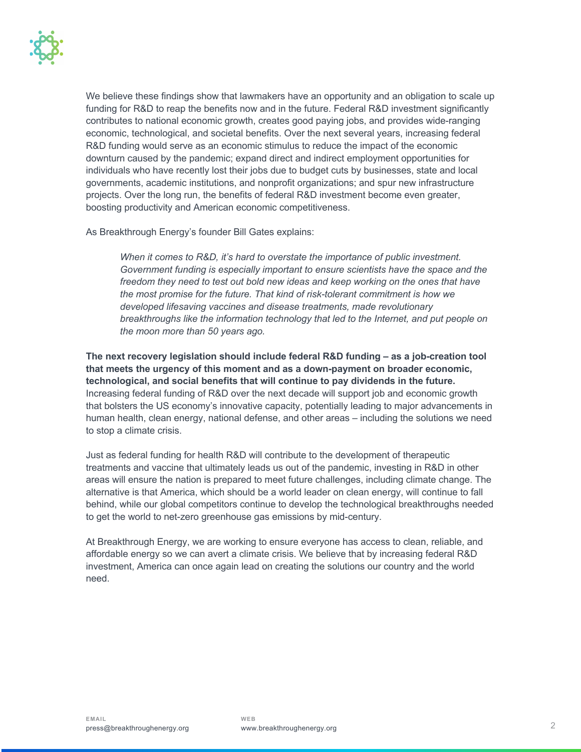We believe these findings show that lawmakers have an opportunity and an obligation to scale up funding for R&D to reap the benefits now and in the future. Federal R&D investment significantly contributes to national economic growth, creates good paying jobs, and provides wide-ranging economic, technological, and societal benefits. Over the next several years, increasing federal R&D funding would serve as an economic stimulus to reduce the impact of the economic downturn caused by the pandemic; expand direct and indirect employment opportunities for individuals who have recently lost their jobs due to budget cuts by businesses, state and local governments, academic institutions, and nonprofit organizations; and spur new infrastructure projects. Over the long run, the benefits of federal R&D investment become even greater, boosting productivity and American economic competitiveness.

As Breakthrough Energy's founder Bill Gates explains:

*When it comes to R&D, it's hard to overstate the importance of public investment. Government funding is especially important to ensure scientists have the space and the freedom they need to test out bold new ideas and keep working on the ones that have the most promise for the future. That kind of risk-tolerant commitment is how we developed lifesaving vaccines and disease treatments, made revolutionary breakthroughs like the information technology that led to the Internet, and put people on the moon more than 50 years ago.*

**The next recovery legislation should include federal R&D funding – as a job-creation tool that meets the urgency of this moment and as a down-payment on broader economic, technological, and social benefits that will continue to pay dividends in the future.** Increasing federal funding of R&D over the next decade will support job and economic growth that bolsters the US economy's innovative capacity, potentially leading to major advancements in human health, clean energy, national defense, and other areas – including the solutions we need to stop a climate crisis.

Just as federal funding for health R&D will contribute to the development of therapeutic treatments and vaccine that ultimately leads us out of the pandemic, investing in R&D in other areas will ensure the nation is prepared to meet future challenges, including climate change. The alternative is that America, which should be a world leader on clean energy, will continue to fall behind, while our global competitors continue to develop the technological breakthroughs needed to get the world to net-zero greenhouse gas emissions by mid-century.

At Breakthrough Energy, we are working to ensure everyone has access to clean, reliable, and affordable energy so we can avert a climate crisis. We believe that by increasing federal R&D investment, America can once again lead on creating the solutions our country and the world need.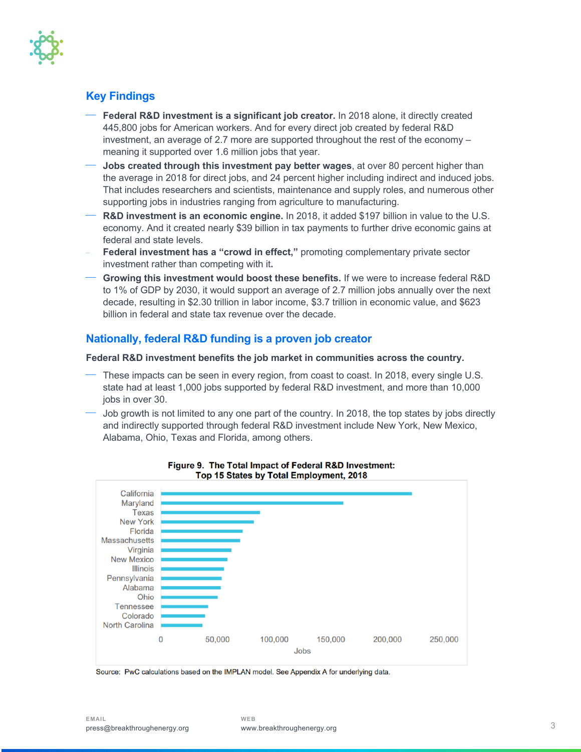

# **Key Findings**

- ¾ **Federal R&D investment is a significant job creator.** In 2018 alone, it directly created 445,800 jobs for American workers. And for every direct job created by federal R&D investment, an average of 2.7 more are supported throughout the rest of the economy – meaning it supported over 1.6 million jobs that year.
- ¾ **Jobs created through this investment pay better wages**, at over 80 percent higher than the average in 2018 for direct jobs, and 24 percent higher including indirect and induced jobs. That includes researchers and scientists, maintenance and supply roles, and numerous other supporting jobs in industries ranging from agriculture to manufacturing.
- ¾ **R&D investment is an economic engine.** In 2018, it added \$197 billion in value to the U.S. economy. And it created nearly \$39 billion in tax payments to further drive economic gains at federal and state levels.
- **Federal investment has a "crowd in effect,"** promoting complementary private sector investment rather than competing with it**.**
- ¾ **Growing this investment would boost these benefits.** If we were to increase federal R&D to 1% of GDP by 2030, it would support an average of 2.7 million jobs annually over the next decade, resulting in \$2.30 trillion in labor income, \$3.7 trillion in economic value, and \$623 billion in federal and state tax revenue over the decade.

# **Nationally, federal R&D funding is a proven job creator**

#### **Federal R&D investment benefits the job market in communities across the country.**

- These impacts can be seen in every region, from coast to coast. In 2018, every single U.S. state had at least 1,000 jobs supported by federal R&D investment, and more than 10,000 jobs in over 30.
- Job growth is not limited to any one part of the country. In 2018, the top states by jobs directly and indirectly supported through federal R&D investment include New York, New Mexico, Alabama, Ohio, Texas and Florida, among others.



#### Figure 9. The Total Impact of Federal R&D Investment: Top 15 States by Total Employment, 2018

Source: PwC calculations based on the IMPLAN model. See Appendix A for underlying data.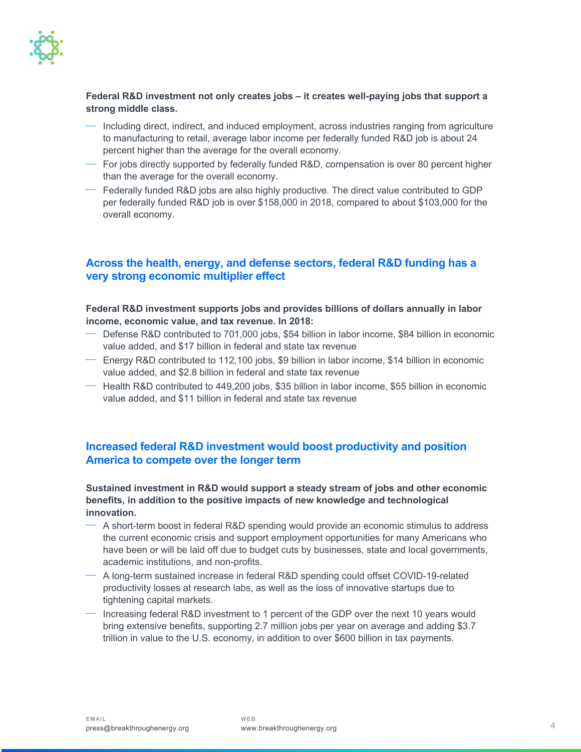

### **Federal R&D investment not only creates jobs – it creates well-paying jobs that support a strong middle class.**

- ¾ Including direct, indirect, and induced employment, across industries ranging from agriculture to manufacturing to retail, average labor income per federally funded R&D job is about 24 percent higher than the average for the overall economy.
- $-$  For jobs directly supported by federally funded R&D, compensation is over 80 percent higher than the average for the overall economy.
- ¾ Federally funded R&D jobs are also highly productive. The direct value contributed to GDP per federally funded R&D job is over \$158,000 in 2018, compared to about \$103,000 for the overall economy.

# **Across the health, energy, and defense sectors, federal R&D funding has a very strong economic multiplier effect**

#### **Federal R&D investment supports jobs and provides billions of dollars annually in labor income, economic value, and tax revenue. In 2018:**

- ¾ Defense R&D contributed to 701,000 jobs, \$54 billion in labor income, \$84 billion in economic value added, and \$17 billion in federal and state tax revenue
- $-$  Energy R&D contributed to 112,100 jobs, \$9 billion in labor income, \$14 billion in economic value added, and \$2.8 billion in federal and state tax revenue
- $-$  Health R&D contributed to 449,200 jobs, \$35 billion in labor income, \$55 billion in economic value added, and \$11 billion in federal and state tax revenue

# **Increased federal R&D investment would boost productivity and position America to compete over the longer term**

### **Sustained investment in R&D would support a steady stream of jobs and other economic benefits, in addition to the positive impacts of new knowledge and technological innovation.**

- $-$  A short-term boost in federal R&D spending would provide an economic stimulus to address the current economic crisis and support employment opportunities for many Americans who have been or will be laid off due to budget cuts by businesses, state and local governments, academic institutions, and non-profits.
- $-$  A long-term sustained increase in federal R&D spending could offset COVID-19-related productivity losses at research labs, as well as the loss of innovative startups due to tightening capital markets.
- ¾ Increasing federal R&D investment to 1 percent of the GDP over the next 10 years would bring extensive benefits, supporting 2.7 million jobs per year on average and adding \$3.7 trillion in value to the U.S. economy, in addition to over \$600 billion in tax payments.